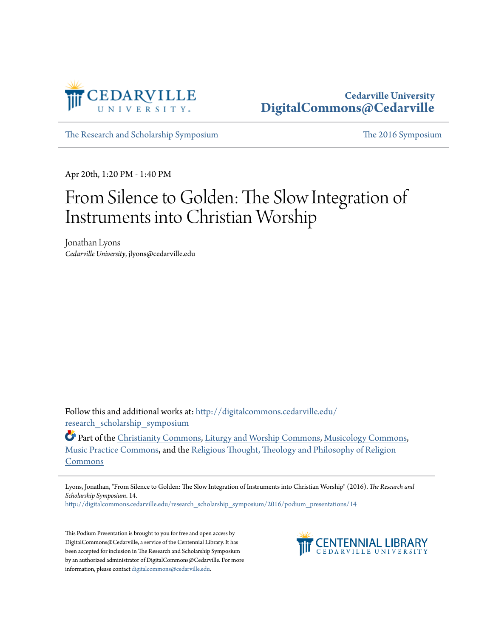

## **Cedarville University [DigitalCommons@Cedarville](http://digitalcommons.cedarville.edu?utm_source=digitalcommons.cedarville.edu%2Fresearch_scholarship_symposium%2F2016%2Fpodium_presentations%2F14&utm_medium=PDF&utm_campaign=PDFCoverPages)**

[The Research and Scholarship Symposium](http://digitalcommons.cedarville.edu/research_scholarship_symposium?utm_source=digitalcommons.cedarville.edu%2Fresearch_scholarship_symposium%2F2016%2Fpodium_presentations%2F14&utm_medium=PDF&utm_campaign=PDFCoverPages) [The 2016 Symposium](http://digitalcommons.cedarville.edu/research_scholarship_symposium/2016?utm_source=digitalcommons.cedarville.edu%2Fresearch_scholarship_symposium%2F2016%2Fpodium_presentations%2F14&utm_medium=PDF&utm_campaign=PDFCoverPages)

Apr 20th, 1:20 PM - 1:40 PM

## From Silence to Golden: The Slow Integration of Instruments into Christian Worship

Jonathan Lyons *Cedarville University*, jlyons@cedarville.edu

Follow this and additional works at: [http://digitalcommons.cedarville.edu/](http://digitalcommons.cedarville.edu/research_scholarship_symposium?utm_source=digitalcommons.cedarville.edu%2Fresearch_scholarship_symposium%2F2016%2Fpodium_presentations%2F14&utm_medium=PDF&utm_campaign=PDFCoverPages) [research\\_scholarship\\_symposium](http://digitalcommons.cedarville.edu/research_scholarship_symposium?utm_source=digitalcommons.cedarville.edu%2Fresearch_scholarship_symposium%2F2016%2Fpodium_presentations%2F14&utm_medium=PDF&utm_campaign=PDFCoverPages)

Part of the [Christianity Commons,](http://network.bepress.com/hgg/discipline/1181?utm_source=digitalcommons.cedarville.edu%2Fresearch_scholarship_symposium%2F2016%2Fpodium_presentations%2F14&utm_medium=PDF&utm_campaign=PDFCoverPages) [Liturgy and Worship Commons,](http://network.bepress.com/hgg/discipline/1188?utm_source=digitalcommons.cedarville.edu%2Fresearch_scholarship_symposium%2F2016%2Fpodium_presentations%2F14&utm_medium=PDF&utm_campaign=PDFCoverPages) [Musicology Commons](http://network.bepress.com/hgg/discipline/521?utm_source=digitalcommons.cedarville.edu%2Fresearch_scholarship_symposium%2F2016%2Fpodium_presentations%2F14&utm_medium=PDF&utm_campaign=PDFCoverPages), [Music Practice Commons](http://network.bepress.com/hgg/discipline/523?utm_source=digitalcommons.cedarville.edu%2Fresearch_scholarship_symposium%2F2016%2Fpodium_presentations%2F14&utm_medium=PDF&utm_campaign=PDFCoverPages), and the [Religious Thought, Theology and Philosophy of Religion](http://network.bepress.com/hgg/discipline/544?utm_source=digitalcommons.cedarville.edu%2Fresearch_scholarship_symposium%2F2016%2Fpodium_presentations%2F14&utm_medium=PDF&utm_campaign=PDFCoverPages) [Commons](http://network.bepress.com/hgg/discipline/544?utm_source=digitalcommons.cedarville.edu%2Fresearch_scholarship_symposium%2F2016%2Fpodium_presentations%2F14&utm_medium=PDF&utm_campaign=PDFCoverPages)

Lyons, Jonathan, "From Silence to Golden: The Slow Integration of Instruments into Christian Worship" (2016). *The Research and Scholarship Symposium*. 14.

[http://digitalcommons.cedarville.edu/research\\_scholarship\\_symposium/2016/podium\\_presentations/14](http://digitalcommons.cedarville.edu/research_scholarship_symposium/2016/podium_presentations/14?utm_source=digitalcommons.cedarville.edu%2Fresearch_scholarship_symposium%2F2016%2Fpodium_presentations%2F14&utm_medium=PDF&utm_campaign=PDFCoverPages)

This Podium Presentation is brought to you for free and open access by DigitalCommons@Cedarville, a service of the Centennial Library. It has been accepted for inclusion in The Research and Scholarship Symposium by an authorized administrator of DigitalCommons@Cedarville. For more information, please contact [digitalcommons@cedarville.edu.](mailto:digitalcommons@cedarville.edu)